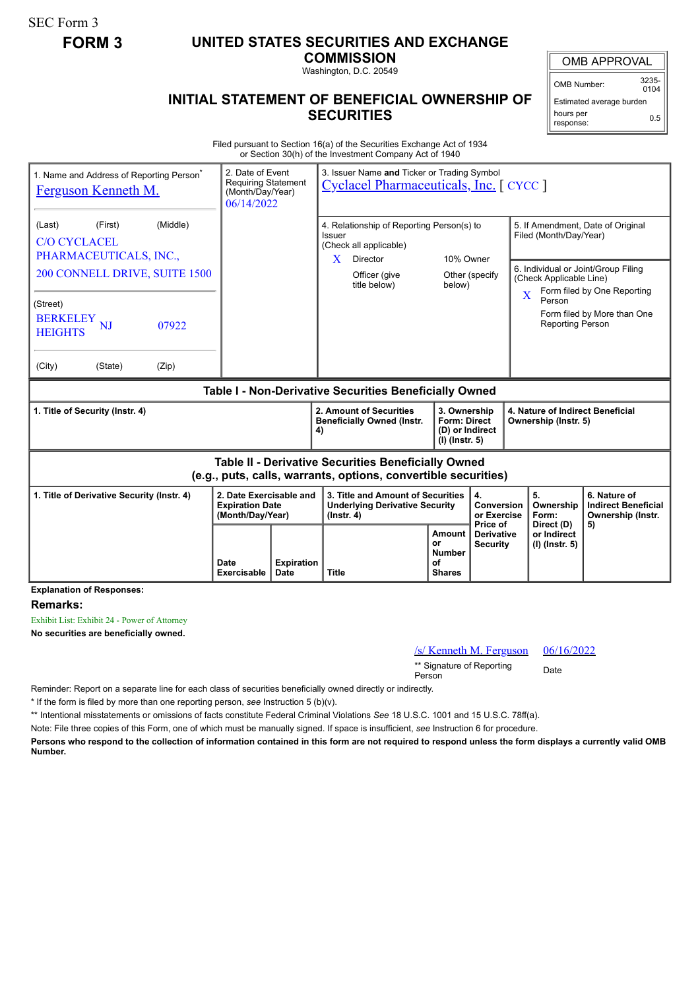SEC Form 3

## **FORM 3 UNITED STATES SECURITIES AND EXCHANGE**

**COMMISSION** Washington, D.C. 20549

## **INITIAL STATEMENT OF BENEFICIAL OWNERSHIP OF SECURITIES**

OMB APPROVAL

OMB Number: 3235-  $0104$ 

Estimated average burden hours per response: 0.5

Filed pursuant to Section 16(a) of the Securities Exchange Act of 1934 or Section 30(h) of the Investment Company Act of 1940

| 1. Name and Address of Reporting Person <sup>®</sup><br><b>Ferguson Kenneth M.</b>                                    |                     | 3. Issuer Name and Ticker or Trading Symbol<br>2. Date of Event<br><b>Requiring Statement</b><br><b>Cyclacel Pharmaceuticals, Inc.</b> [CYCC ]<br>(Month/Day/Year)<br>06/14/2022 |                                                                                                        |                                                                   |                                             |                                                             |                                                                    |
|-----------------------------------------------------------------------------------------------------------------------|---------------------|----------------------------------------------------------------------------------------------------------------------------------------------------------------------------------|--------------------------------------------------------------------------------------------------------|-------------------------------------------------------------------|---------------------------------------------|-------------------------------------------------------------|--------------------------------------------------------------------|
| (Middle)<br>(First)<br>(Last)<br>C/O CYCLACEL<br>PHARMACEUTICALS, INC.,                                               |                     |                                                                                                                                                                                  | 4. Relationship of Reporting Person(s) to<br>Issuer<br>(Check all applicable)<br>Director<br>10% Owner |                                                                   |                                             | 5. If Amendment, Date of Original<br>Filed (Month/Day/Year) |                                                                    |
| 200 CONNELL DRIVE, SUITE 1500                                                                                         |                     |                                                                                                                                                                                  | X<br>Officer (give<br>title below)                                                                     | below)                                                            | Other (specify                              | (Check Applicable Line)<br>$\overline{\mathbf{X}}$          | 6. Individual or Joint/Group Filing<br>Form filed by One Reporting |
| (Street)<br><b>BERKELEY</b><br>07922<br>NJ<br><b>HEIGHTS</b>                                                          |                     |                                                                                                                                                                                  |                                                                                                        |                                                                   |                                             | Person                                                      | Form filed by More than One<br><b>Reporting Person</b>             |
| (City)<br>(State)<br>(Zip)                                                                                            |                     |                                                                                                                                                                                  |                                                                                                        |                                                                   |                                             |                                                             |                                                                    |
| Table I - Non-Derivative Securities Beneficially Owned                                                                |                     |                                                                                                                                                                                  |                                                                                                        |                                                                   |                                             |                                                             |                                                                    |
| 1. Title of Security (Instr. 4)                                                                                       |                     |                                                                                                                                                                                  | 2. Amount of Securities<br><b>Beneficially Owned (Instr.</b><br>4)                                     | 3. Ownership<br>Form: Direct<br>(D) or Indirect<br>(I) (Instr. 5) |                                             | 4. Nature of Indirect Beneficial<br>Ownership (Instr. 5)    |                                                                    |
| Table II - Derivative Securities Beneficially Owned<br>(e.g., puts, calls, warrants, options, convertible securities) |                     |                                                                                                                                                                                  |                                                                                                        |                                                                   |                                             |                                                             |                                                                    |
| 1. Title of Derivative Security (Instr. 4)<br>2. Date Exercisable and<br><b>Expiration Date</b><br>(Month/Day/Year)   |                     |                                                                                                                                                                                  | 3. Title and Amount of Securities<br><b>Underlying Derivative Security</b><br>$($ lnstr. 4 $)$         |                                                                   | 4.<br>Conversion<br>or Exercise<br>Price of | 5.<br>Ownership<br>Form:<br>Direct (D)                      | 6. Nature of<br><b>Indirect Beneficial</b><br>Ownership (Instr.    |
| Evalopotion of Decononces                                                                                             | Date<br>Exercisable | <b>Expiration</b><br>Date                                                                                                                                                        | <b>Title</b>                                                                                           | Amount<br>or<br><b>Number</b><br>οf<br><b>Shares</b>              | <b>Derivative</b><br><b>Security</b>        | or Indirect<br>(I) (Instr. 5)                               | 5)                                                                 |

**Explanation of Responses:**

**Remarks:**

Exhibit List: Exhibit 24 - Power of Attorney

**No securities are beneficially owned.**

/s/ Kenneth M. Ferguson 06/16/2022

\*\* Signature of Reporting <sub>Date</sub><br>Person

Reminder: Report on a separate line for each class of securities beneficially owned directly or indirectly.

\* If the form is filed by more than one reporting person, *see* Instruction 5 (b)(v).

\*\* Intentional misstatements or omissions of facts constitute Federal Criminal Violations *See* 18 U.S.C. 1001 and 15 U.S.C. 78ff(a).

Note: File three copies of this Form, one of which must be manually signed. If space is insufficient, *see* Instruction 6 for procedure.

**Persons who respond to the collection of information contained in this form are not required to respond unless the form displays a currently valid OMB Number.**